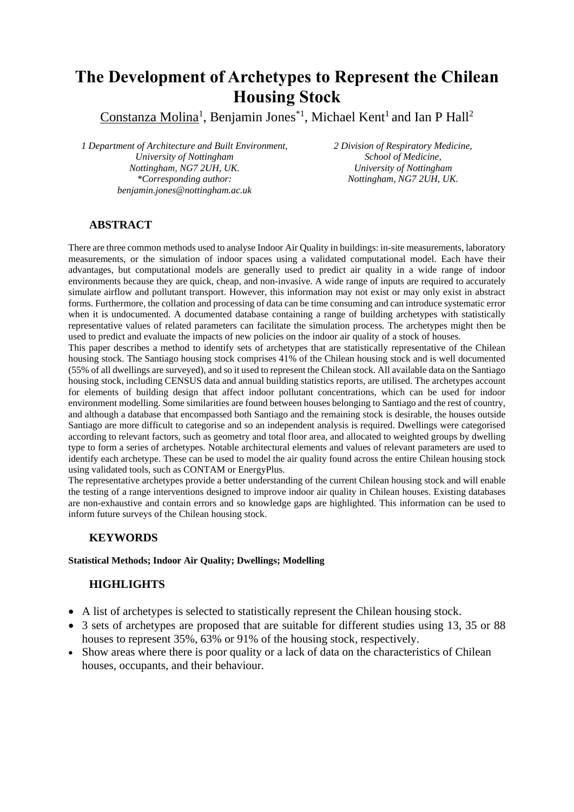# **The Development of Archetypes to Represent the Chilean Housing Stock**

Constanza Molina<sup>1</sup>, Benjamin Jones<sup>\*1</sup>, Michael Kent<sup>1</sup> and Ian P Hall<sup>2</sup>

*1 Department of Architecture and Built Environment, University of Nottingham Nottingham, NG7 2UH, UK. \*Corresponding author: benjamin.jones@nottingham.ac.uk*

*2 Division of Respiratory Medicine, School of Medicine, University of Nottingham Nottingham, NG7 2UH, UK.*

#### **ABSTRACT**

There are three common methods used to analyse Indoor Air Quality in buildings: in-site measurements, laboratory measurements, or the simulation of indoor spaces using a validated computational model. Each have their advantages, but computational models are generally used to predict air quality in a wide range of indoor environments because they are quick, cheap, and non-invasive. A wide range of inputs are required to accurately simulate airflow and pollutant transport. However, this information may not exist or may only exist in abstract forms. Furthermore, the collation and processing of data can be time consuming and can introduce systematic error when it is undocumented. A documented database containing a range of building archetypes with statistically representative values of related parameters can facilitate the simulation process. The archetypes might then be used to predict and evaluate the impacts of new policies on the indoor air quality of a stock of houses.

This paper describes a method to identify sets of archetypes that are statistically representative of the Chilean housing stock. The Santiago housing stock comprises 41% of the Chilean housing stock and is well documented (55% of all dwellings are surveyed), and so it used to represent the Chilean stock. All available data on the Santiago housing stock, including CENSUS data and annual building statistics reports, are utilised. The archetypes account for elements of building design that affect indoor pollutant concentrations, which can be used for indoor environment modelling. Some similarities are found between houses belonging to Santiago and the rest of country, and although a database that encompassed both Santiago and the remaining stock is desirable, the houses outside Santiago are more difficult to categorise and so an independent analysis is required. Dwellings were categorised according to relevant factors, such as geometry and total floor area, and allocated to weighted groups by dwelling type to form a series of archetypes. Notable architectural elements and values of relevant parameters are used to identify each archetype. These can be used to model the air quality found across the entire Chilean housing stock using validated tools, such as CONTAM or EnergyPlus.

The representative archetypes provide a better understanding of the current Chilean housing stock and will enable the testing of a range interventions designed to improve indoor air quality in Chilean houses. Existing databases are non-exhaustive and contain errors and so knowledge gaps are highlighted. This information can be used to inform future surveys of the Chilean housing stock.

## **KEYWORDS**

#### **Statistical Methods; Indoor Air Quality; Dwellings; Modelling**

## **HIGHLIGHTS**

- A list of archetypes is selected to statistically represent the Chilean housing stock.
- 3 sets of archetypes are proposed that are suitable for different studies using 13, 35 or 88 houses to represent 35%, 63% or 91% of the housing stock, respectively.
- Show areas where there is poor quality or a lack of data on the characteristics of Chilean houses, occupants, and their behaviour.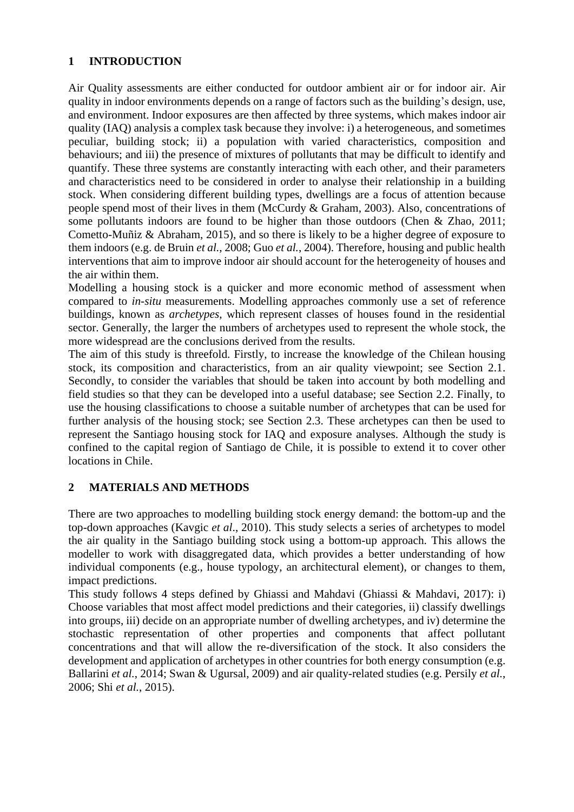## **1 INTRODUCTION**

Air Quality assessments are either conducted for outdoor ambient air or for indoor air. Air quality in indoor environments depends on a range of factors such as the building's design, use, and environment. Indoor exposures are then affected by three systems, which makes indoor air quality (IAQ) analysis a complex task because they involve: i) a heterogeneous, and sometimes peculiar, building stock; ii) a population with varied characteristics, composition and behaviours; and iii) the presence of mixtures of pollutants that may be difficult to identify and quantify. These three systems are constantly interacting with each other, and their parameters and characteristics need to be considered in order to analyse their relationship in a building stock. When considering different building types, dwellings are a focus of attention because people spend most of their lives in them (McCurdy & Graham, 2003). Also, concentrations of some pollutants indoors are found to be higher than those outdoors (Chen & Zhao, 2011; Cometto-Muñiz & Abraham, 2015), and so there is likely to be a higher degree of exposure to them indoors (e.g. de Bruin *et al.*, 2008; Guo *et al.*, 2004). Therefore, housing and public health interventions that aim to improve indoor air should account for the heterogeneity of houses and the air within them.

Modelling a housing stock is a quicker and more economic method of assessment when compared to *in-situ* measurements. Modelling approaches commonly use a set of reference buildings, known as *archetypes*, which represent classes of houses found in the residential sector. Generally, the larger the numbers of archetypes used to represent the whole stock, the more widespread are the conclusions derived from the results.

The aim of this study is threefold. Firstly, to increase the knowledge of the Chilean housing stock, its composition and characteristics, from an air quality viewpoint; see Section 2.1. Secondly, to consider the variables that should be taken into account by both modelling and field studies so that they can be developed into a useful database; see Section 2.2. Finally, to use the housing classifications to choose a suitable number of archetypes that can be used for further analysis of the housing stock; see Section 2.3. These archetypes can then be used to represent the Santiago housing stock for IAQ and exposure analyses. Although the study is confined to the capital region of Santiago de Chile, it is possible to extend it to cover other locations in Chile.

## **2 MATERIALS AND METHODS**

There are two approaches to modelling building stock energy demand: the bottom-up and the top-down approaches (Kavgic *et al*., 2010). This study selects a series of archetypes to model the air quality in the Santiago building stock using a bottom-up approach. This allows the modeller to work with disaggregated data, which provides a better understanding of how individual components (e.g., house typology, an architectural element), or changes to them, impact predictions.

This study follows 4 steps defined by Ghiassi and Mahdavi (Ghiassi & Mahdavi, 2017): i) Choose variables that most affect model predictions and their categories, ii) classify dwellings into groups, iii) decide on an appropriate number of dwelling archetypes, and iv) determine the stochastic representation of other properties and components that affect pollutant concentrations and that will allow the re-diversification of the stock. It also considers the development and application of archetypes in other countries for both energy consumption (e.g. Ballarini *et al.*, 2014; Swan & Ugursal, 2009) and air quality-related studies (e.g. Persily *et al.*, 2006; Shi *et al.*, 2015).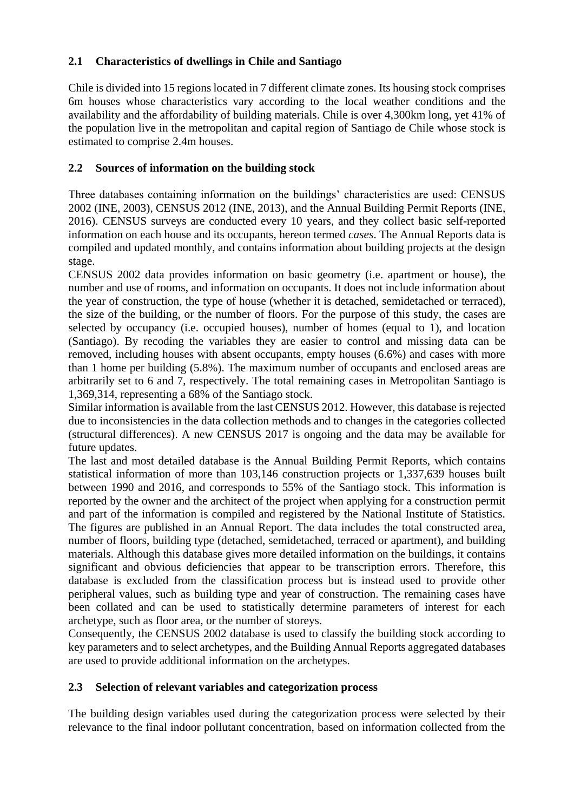# **2.1 Characteristics of dwellings in Chile and Santiago**

Chile is divided into 15 regions located in 7 different climate zones. Its housing stock comprises 6m houses whose characteristics vary according to the local weather conditions and the availability and the affordability of building materials. Chile is over 4,300km long, yet 41% of the population live in the metropolitan and capital region of Santiago de Chile whose stock is estimated to comprise 2.4m houses.

# **2.2 Sources of information on the building stock**

Three databases containing information on the buildings' characteristics are used: CENSUS 2002 (INE, 2003), CENSUS 2012 (INE, 2013), and the Annual Building Permit Reports (INE, 2016). CENSUS surveys are conducted every 10 years, and they collect basic self-reported information on each house and its occupants, hereon termed *cases*. The Annual Reports data is compiled and updated monthly, and contains information about building projects at the design stage.

CENSUS 2002 data provides information on basic geometry (i.e. apartment or house), the number and use of rooms, and information on occupants. It does not include information about the year of construction, the type of house (whether it is detached, semidetached or terraced), the size of the building, or the number of floors. For the purpose of this study, the cases are selected by occupancy (i.e. occupied houses), number of homes (equal to 1), and location (Santiago). By recoding the variables they are easier to control and missing data can be removed, including houses with absent occupants, empty houses (6.6%) and cases with more than 1 home per building (5.8%). The maximum number of occupants and enclosed areas are arbitrarily set to 6 and 7, respectively. The total remaining cases in Metropolitan Santiago is 1,369,314, representing a 68% of the Santiago stock.

Similar information is available from the last CENSUS 2012. However, this database is rejected due to inconsistencies in the data collection methods and to changes in the categories collected (structural differences). A new CENSUS 2017 is ongoing and the data may be available for future updates.

The last and most detailed database is the Annual Building Permit Reports, which contains statistical information of more than 103,146 construction projects or 1,337,639 houses built between 1990 and 2016, and corresponds to 55% of the Santiago stock. This information is reported by the owner and the architect of the project when applying for a construction permit and part of the information is compiled and registered by the National Institute of Statistics. The figures are published in an Annual Report. The data includes the total constructed area, number of floors, building type (detached, semidetached, terraced or apartment), and building materials. Although this database gives more detailed information on the buildings, it contains significant and obvious deficiencies that appear to be transcription errors. Therefore, this database is excluded from the classification process but is instead used to provide other peripheral values, such as building type and year of construction. The remaining cases have been collated and can be used to statistically determine parameters of interest for each archetype, such as floor area, or the number of storeys.

Consequently, the CENSUS 2002 database is used to classify the building stock according to key parameters and to select archetypes, and the Building Annual Reports aggregated databases are used to provide additional information on the archetypes.

## **2.3 Selection of relevant variables and categorization process**

The building design variables used during the categorization process were selected by their relevance to the final indoor pollutant concentration, based on information collected from the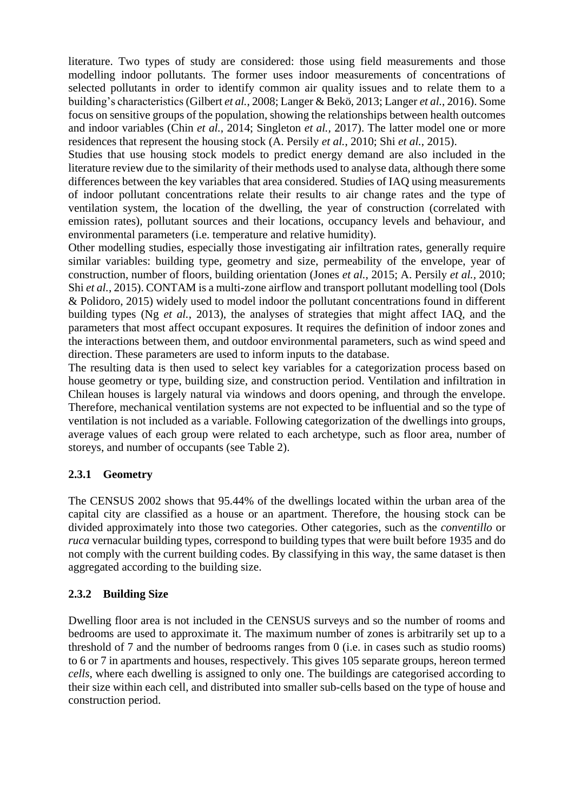literature. Two types of study are considered: those using field measurements and those modelling indoor pollutants. The former uses indoor measurements of concentrations of selected pollutants in order to identify common air quality issues and to relate them to a building's characteristics(Gilbert *et al.*, 2008; Langer & Bekö, 2013; Langer *et al.*, 2016). Some focus on sensitive groups of the population, showing the relationships between health outcomes and indoor variables (Chin *et al.*, 2014; Singleton *et al.,* 2017). The latter model one or more residences that represent the housing stock (A. Persily *et al.*, 2010; Shi *et al.*, 2015).

Studies that use housing stock models to predict energy demand are also included in the literature review due to the similarity of their methods used to analyse data, although there some differences between the key variables that area considered. Studies of IAQ using measurements of indoor pollutant concentrations relate their results to air change rates and the type of ventilation system, the location of the dwelling, the year of construction (correlated with emission rates), pollutant sources and their locations, occupancy levels and behaviour, and environmental parameters (i.e. temperature and relative humidity).

Other modelling studies, especially those investigating air infiltration rates, generally require similar variables: building type, geometry and size, permeability of the envelope, year of construction, number of floors, building orientation (Jones *et al.,* 2015; A. Persily *et al.,* 2010; Shi *et al.*, 2015). CONTAM is a multi-zone airflow and transport pollutant modelling tool (Dols & Polidoro, 2015) widely used to model indoor the pollutant concentrations found in different building types (Ng *et al.*, 2013), the analyses of strategies that might affect IAQ, and the parameters that most affect occupant exposures. It requires the definition of indoor zones and the interactions between them, and outdoor environmental parameters, such as wind speed and direction. These parameters are used to inform inputs to the database.

The resulting data is then used to select key variables for a categorization process based on house geometry or type, building size, and construction period. Ventilation and infiltration in Chilean houses is largely natural via windows and doors opening, and through the envelope. Therefore, mechanical ventilation systems are not expected to be influential and so the type of ventilation is not included as a variable. Following categorization of the dwellings into groups, average values of each group were related to each archetype, such as floor area, number of storeys, and number of occupants (see [Table 2\)](#page-4-0).

## **2.3.1 Geometry**

The CENSUS 2002 shows that 95.44% of the dwellings located within the urban area of the capital city are classified as a house or an apartment. Therefore, the housing stock can be divided approximately into those two categories. Other categories, such as the *conventillo* or *ruca* vernacular building types, correspond to building types that were built before 1935 and do not comply with the current building codes. By classifying in this way, the same dataset is then aggregated according to the building size.

## **2.3.2 Building Size**

Dwelling floor area is not included in the CENSUS surveys and so the number of rooms and bedrooms are used to approximate it. The maximum number of zones is arbitrarily set up to a threshold of 7 and the number of bedrooms ranges from 0 (i.e. in cases such as studio rooms) to 6 or 7 in apartments and houses, respectively. This gives 105 separate groups, hereon termed *cells*, where each dwelling is assigned to only one. The buildings are categorised according to their size within each cell, and distributed into smaller sub-cells based on the type of house and construction period.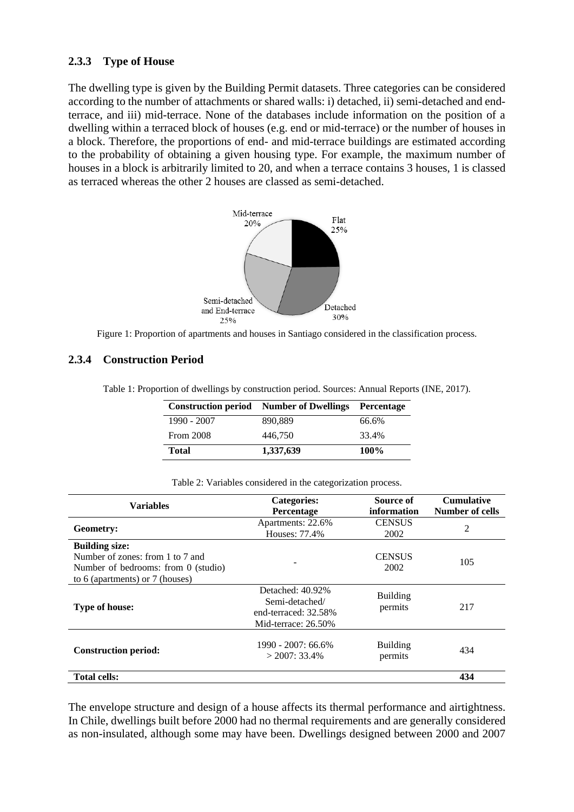#### **2.3.3 Type of House**

The dwelling type is given by the Building Permit datasets. Three categories can be considered according to the number of attachments or shared walls: i) detached, ii) semi-detached and endterrace, and iii) mid-terrace. None of the databases include information on the position of a dwelling within a terraced block of houses (e.g. end or mid-terrace) or the number of houses in a block. Therefore, the proportions of end- and mid-terrace buildings are estimated according to the probability of obtaining a given housing type. For example, the maximum number of houses in a block is arbitrarily limited to 20, and when a terrace contains 3 houses, 1 is classed as terraced whereas the other 2 houses are classed as semi-detached.





#### **2.3.4 Construction Period**

Table 1: Proportion of dwellings by construction period. Sources: Annual Reports (INE, 2017).

|                  | <b>Construction period</b> Number of Dwellings | Percentage |  |
|------------------|------------------------------------------------|------------|--|
| 1990 - 2007      | 890.889                                        | 66.6%      |  |
| <b>From 2008</b> | 446.750                                        | 33.4%      |  |
| Total            | 1,337,639                                      | 100%       |  |

|  | Table 2: Variables considered in the categorization process. |  |
|--|--------------------------------------------------------------|--|
|--|--------------------------------------------------------------|--|

<span id="page-4-0"></span>

| <b>Variables</b>                                                                                                                      | <b>Categories:</b><br><b>Percentage</b>                                              | Source of<br>information   | <b>Cumulative</b><br><b>Number of cells</b><br>2 |  |
|---------------------------------------------------------------------------------------------------------------------------------------|--------------------------------------------------------------------------------------|----------------------------|--------------------------------------------------|--|
| Geometry:                                                                                                                             | Apartments: 22.6%<br>Houses: 77.4%                                                   | <b>CENSUS</b><br>2002      |                                                  |  |
| <b>Building size:</b><br>Number of zones: from 1 to 7 and<br>Number of bedrooms: from $0$ (studio)<br>to 6 (apartments) or 7 (houses) |                                                                                      | <b>CENSUS</b><br>2002      | 105                                              |  |
| <b>Type of house:</b>                                                                                                                 | Detached: 40.92%<br>Semi-detached/<br>end-terraced: 32.58%<br>Mid-terrace: $26.50\%$ | <b>Building</b><br>permits | 217                                              |  |
| <b>Construction period:</b>                                                                                                           | 1990 - 2007: 66.6%<br>$>$ 2007: 33.4%                                                | <b>Building</b><br>permits | 434                                              |  |
| <b>Total cells:</b>                                                                                                                   |                                                                                      |                            | 434                                              |  |

The envelope structure and design of a house affects its thermal performance and airtightness. In Chile, dwellings built before 2000 had no thermal requirements and are generally considered as non-insulated, although some may have been. Dwellings designed between 2000 and 2007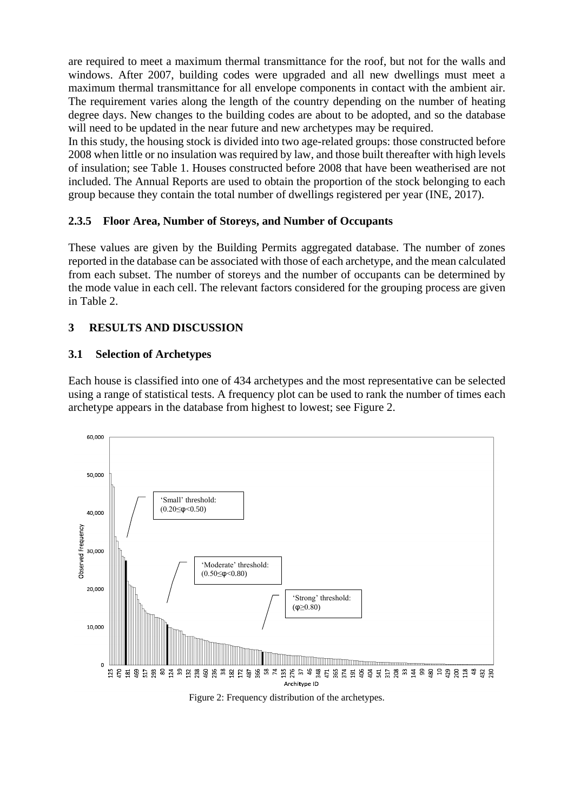are required to meet a maximum thermal transmittance for the roof, but not for the walls and windows. After 2007, building codes were upgraded and all new dwellings must meet a maximum thermal transmittance for all envelope components in contact with the ambient air. The requirement varies along the length of the country depending on the number of heating degree days. New changes to the building codes are about to be adopted, and so the database will need to be updated in the near future and new archetypes may be required.

In this study, the housing stock is divided into two age-related groups: those constructed before 2008 when little or no insulation was required by law, and those built thereafter with high levels of insulation; see Table 1. Houses constructed before 2008 that have been weatherised are not included. The Annual Reports are used to obtain the proportion of the stock belonging to each group because they contain the total number of dwellings registered per year (INE, 2017).

# **2.3.5 Floor Area, Number of Storeys, and Number of Occupants**

These values are given by the Building Permits aggregated database. The number of zones reported in the database can be associated with those of each archetype, and the mean calculated from each subset. The number of storeys and the number of occupants can be determined by the mode value in each cell. The relevant factors considered for the grouping process are given in Table 2.

# **3 RESULTS AND DISCUSSION**

## **3.1 Selection of Archetypes**

Each house is classified into one of 434 archetypes and the most representative can be selected using a range of statistical tests. A frequency plot can be used to rank the number of times each archetype appears in the database from highest to lowest; see [Figure 2.](#page-5-0)



<span id="page-5-0"></span>Figure 2: Frequency distribution of the archetypes.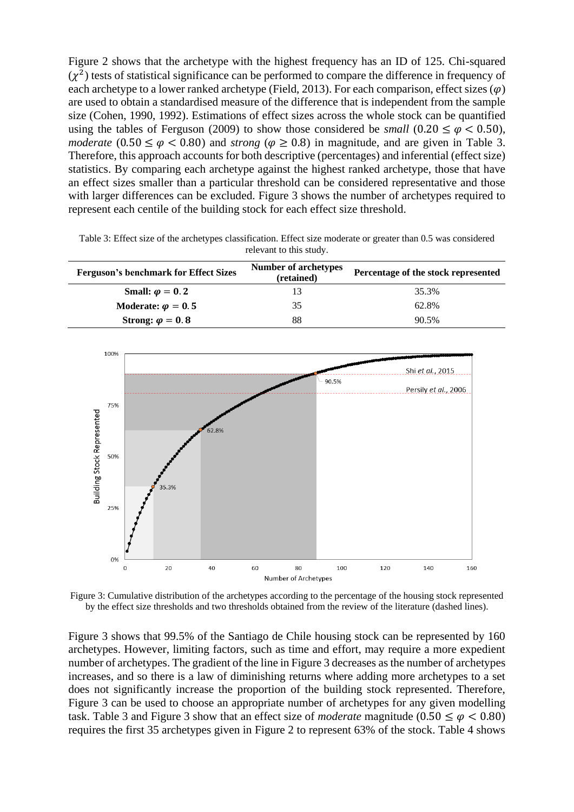Figure 2 shows that the archetype with the highest frequency has an ID of 125. Chi-squared  $(\chi^2)$  tests of statistical significance can be performed to compare the difference in frequency of each archetype to a lower ranked archetype (Field, 2013). For each comparison, effect sizes  $(\varphi)$ are used to obtain a standardised measure of the difference that is independent from the sample size (Cohen, 1990, 1992). Estimations of effect sizes across the whole stock can be quantified using the tables of Ferguson (2009) to show those considered be *small* (0.20  $\leq \varphi < 0.50$ ), *moderate* (0.50  $\leq \varphi$  < 0.80) and *strong* ( $\varphi \geq 0.8$ ) in magnitude, and are given in Table 3. Therefore, this approach accounts for both descriptive (percentages) and inferential (effect size) statistics. By comparing each archetype against the highest ranked archetype, those that have an effect sizes smaller than a particular threshold can be considered representative and those with larger differences can be excluded. Figure 3 shows the number of archetypes required to represent each centile of the building stock for each effect size threshold.

Table 3: Effect size of the archetypes classification. Effect size moderate or greater than 0.5 was considered relevant to this study.

| <b>Ferguson's benchmark for Effect Sizes</b> | <b>Number of archetypes</b><br>(retained) | Percentage of the stock represented |  |
|----------------------------------------------|-------------------------------------------|-------------------------------------|--|
| Small: $\varphi = 0.2$                       |                                           | 35.3%                               |  |
| Moderate: $\varphi = 0.5$                    | 35                                        | 62.8%                               |  |
| Strong: $\varphi = 0.8$                      | 88                                        | 90.5%                               |  |



Figure 3: Cumulative distribution of the archetypes according to the percentage of the housing stock represented by the effect size thresholds and two thresholds obtained from the review of the literature (dashed lines).

Figure 3 shows that 99.5% of the Santiago de Chile housing stock can be represented by 160 archetypes. However, limiting factors, such as time and effort, may require a more expedient number of archetypes. The gradient of the line in Figure 3 decreases as the number of archetypes increases, and so there is a law of diminishing returns where adding more archetypes to a set does not significantly increase the proportion of the building stock represented. Therefore, Figure 3 can be used to choose an appropriate number of archetypes for any given modelling task. Table 3 and Figure 3 show that an effect size of *moderate* magnitude ( $0.50 \le \varphi < 0.80$ ) requires the first 35 archetypes given in Figure 2 to represent 63% of the stock. Table 4 shows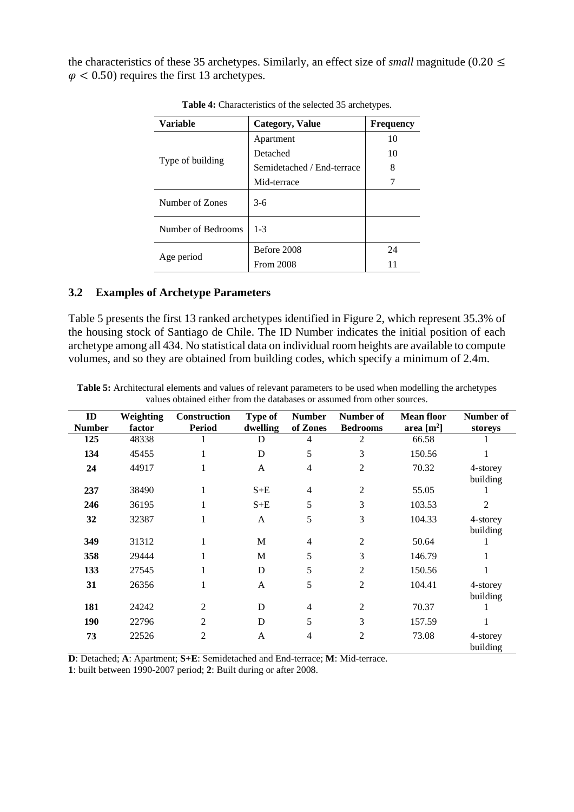the characteristics of these 35 archetypes. Similarly, an effect size of *small* magnitude (0.20  $\leq$  $\varphi$  < 0.50) requires the first 13 archetypes.

| <b>Variable</b>    | <b>Frequency</b>           |    |
|--------------------|----------------------------|----|
|                    | Apartment                  | 10 |
|                    | Detached                   | 10 |
| Type of building   | Semidetached / End-terrace | 8  |
|                    | Mid-terrace                |    |
| Number of Zones    | $3-6$                      |    |
| Number of Bedrooms | $1 - 3$                    |    |
|                    | Before 2008                | 24 |
| Age period         | <b>From 2008</b>           | 11 |

**Table 4:** Characteristics of the selected 35 archetypes.

#### **3.2 Examples of Archetype Parameters**

[Table 5](#page-7-0) presents the first 13 ranked archetypes identified in Figure 2, which represent 35.3% of the housing stock of Santiago de Chile. The ID Number indicates the initial position of each archetype among all 434. No statistical data on individual room heights are available to compute volumes, and so they are obtained from building codes, which specify a minimum of 2.4m.

<span id="page-7-0"></span>**Table 5:** Architectural elements and values of relevant parameters to be used when modelling the archetypes values obtained either from the databases or assumed from other sources.

| ID<br><b>Number</b> | Weighting<br>factor | <b>Construction</b><br><b>Period</b> | <b>Type of</b><br>dwelling | <b>Number</b><br>of Zones | Number of<br><b>Bedrooms</b> | <b>Mean floor</b><br>area $[m^2]$ | Number of<br>storeys |
|---------------------|---------------------|--------------------------------------|----------------------------|---------------------------|------------------------------|-----------------------------------|----------------------|
| 125                 | 48338               |                                      | D                          | 4                         | 2                            | 66.58                             |                      |
| 134                 | 45455               |                                      | D                          | 5                         | 3                            | 150.56                            |                      |
| 24                  | 44917               |                                      | $\overline{A}$             | 4                         | $\overline{2}$               | 70.32                             | 4-storey<br>building |
| 237                 | 38490               | 1                                    | $S+E$                      | 4                         | $\overline{2}$               | 55.05                             |                      |
| 246                 | 36195               | 1                                    | $S+E$                      | 5                         | 3                            | 103.53                            | 2                    |
| 32                  | 32387               |                                      | A                          | 5                         | 3                            | 104.33                            | 4-storey<br>building |
| 349                 | 31312               |                                      | M                          | 4                         | $\overline{2}$               | 50.64                             |                      |
| 358                 | 29444               |                                      | M                          | 5                         | 3                            | 146.79                            |                      |
| 133                 | 27545               |                                      | D                          | 5                         | 2                            | 150.56                            |                      |
| 31                  | 26356               |                                      | $\mathbf{A}$               | 5                         | $\overline{2}$               | 104.41                            | 4-storey<br>building |
| 181                 | 24242               | $\overline{2}$                       | D                          | $\overline{4}$            | $\overline{2}$               | 70.37                             |                      |
| 190                 | 22796               | 2                                    | D                          | 5                         | 3                            | 157.59                            |                      |
| 73                  | 22526               | 2                                    | $\mathbf{A}$               | 4                         | 2                            | 73.08                             | 4-storey<br>building |

**D**: Detached; **A**: Apartment; **S+E**: Semidetached and End-terrace; **M**: Mid-terrace.

**1**: built between 1990-2007 period; **2**: Built during or after 2008.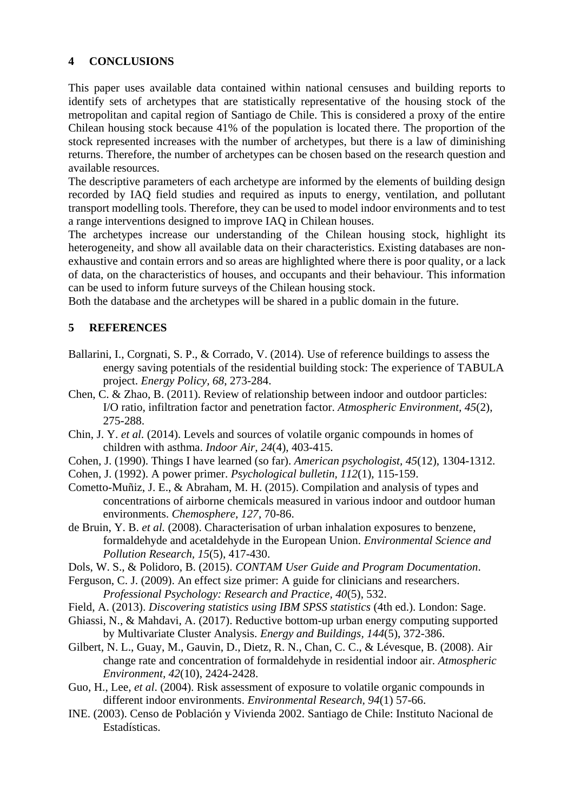## **4 CONCLUSIONS**

This paper uses available data contained within national censuses and building reports to identify sets of archetypes that are statistically representative of the housing stock of the metropolitan and capital region of Santiago de Chile. This is considered a proxy of the entire Chilean housing stock because 41% of the population is located there. The proportion of the stock represented increases with the number of archetypes, but there is a law of diminishing returns. Therefore, the number of archetypes can be chosen based on the research question and available resources.

The descriptive parameters of each archetype are informed by the elements of building design recorded by IAQ field studies and required as inputs to energy, ventilation, and pollutant transport modelling tools. Therefore, they can be used to model indoor environments and to test a range interventions designed to improve IAQ in Chilean houses.

The archetypes increase our understanding of the Chilean housing stock, highlight its heterogeneity, and show all available data on their characteristics. Existing databases are nonexhaustive and contain errors and so areas are highlighted where there is poor quality, or a lack of data, on the characteristics of houses, and occupants and their behaviour. This information can be used to inform future surveys of the Chilean housing stock.

Both the database and the archetypes will be shared in a public domain in the future.

# **5 REFERENCES**

- Ballarini, I., Corgnati, S. P., & Corrado, V. (2014). Use of reference buildings to assess the energy saving potentials of the residential building stock: The experience of TABULA project. *Energy Policy, 68*, 273-284.
- Chen, C. & Zhao, B. (2011). Review of relationship between indoor and outdoor particles: I/O ratio, infiltration factor and penetration factor. *Atmospheric Environment, 45*(2), 275-288.
- Chin, J. Y. *et al.* (2014). Levels and sources of volatile organic compounds in homes of children with asthma. *Indoor Air, 24*(4), 403-415.
- Cohen, J. (1990). Things I have learned (so far). *American psychologist, 45*(12), 1304-1312.
- Cohen, J. (1992). A power primer. *Psychological bulletin, 112*(1), 115-159.
- Cometto-Muñiz, J. E., & Abraham, M. H. (2015). Compilation and analysis of types and concentrations of airborne chemicals measured in various indoor and outdoor human environments. *Chemosphere, 127*, 70-86.
- de Bruin, Y. B. *et al.* (2008). Characterisation of urban inhalation exposures to benzene, formaldehyde and acetaldehyde in the European Union. *Environmental Science and Pollution Research, 15*(5), 417-430.
- Dols, W. S., & Polidoro, B. (2015). *CONTAM User Guide and Program Documentation*.
- Ferguson, C. J. (2009). An effect size primer: A guide for clinicians and researchers. *Professional Psychology: Research and Practice, 40*(5), 532.
- Field, A. (2013). *Discovering statistics using IBM SPSS statistics* (4th ed.). London: Sage.
- Ghiassi, N., & Mahdavi, A. (2017). Reductive bottom-up urban energy computing supported by Multivariate Cluster Analysis. *Energy and Buildings, 144*(5), 372-386.
- Gilbert, N. L., Guay, M., Gauvin, D., Dietz, R. N., Chan, C. C., & Lévesque, B. (2008). Air change rate and concentration of formaldehyde in residential indoor air. *Atmospheric Environment, 42*(10), 2424-2428.
- Guo, H., Lee, *et al*. (2004). Risk assessment of exposure to volatile organic compounds in different indoor environments. *Environmental Research, 94*(1) 57-66.
- INE. (2003). Censo de Población y Vivienda 2002. Santiago de Chile: Instituto Nacional de Estadísticas.